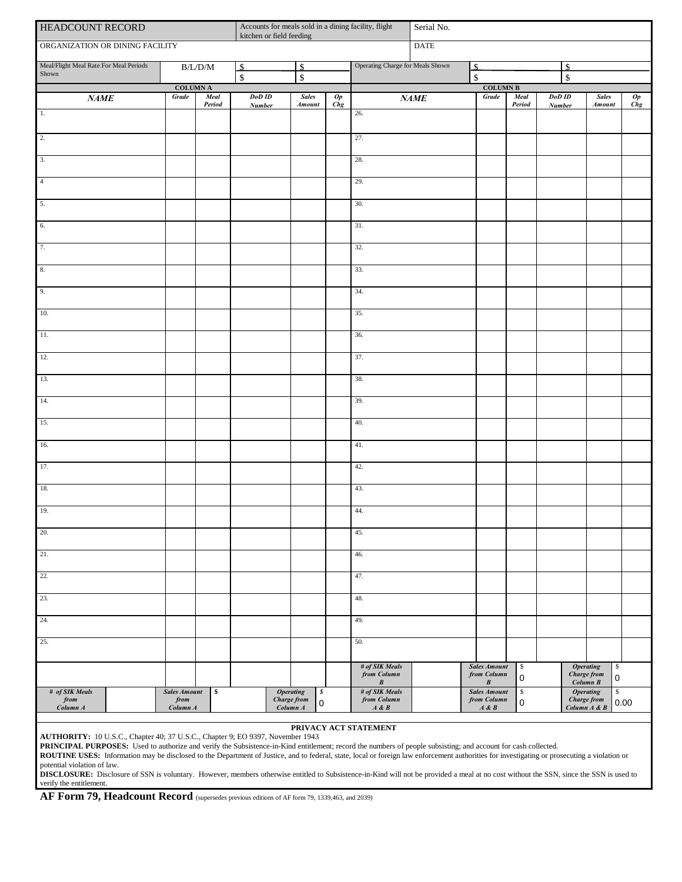| HEADCOUNT RECORD                                                                                                                                                                                                                                                                                                                                                      | Accounts for meals sold in a dining facility, flight<br>kitchen or field feeding |                |                                                                             |                        | Serial No.                          |                                               |      |                                                 |                 |                         |                                                                |                     |  |
|-----------------------------------------------------------------------------------------------------------------------------------------------------------------------------------------------------------------------------------------------------------------------------------------------------------------------------------------------------------------------|----------------------------------------------------------------------------------|----------------|-----------------------------------------------------------------------------|------------------------|-------------------------------------|-----------------------------------------------|------|-------------------------------------------------|-----------------|-------------------------|----------------------------------------------------------------|---------------------|--|
| ORGANIZATION OR DINING FACILITY                                                                                                                                                                                                                                                                                                                                       |                                                                                  | <b>DATE</b>    |                                                                             |                        |                                     |                                               |      |                                                 |                 |                         |                                                                |                     |  |
| Meal/Flight Meal Rate For Meal Periods<br>Shown                                                                                                                                                                                                                                                                                                                       | $\rm B/L/D/M$                                                                    |                | $\mathbf{s}$<br>$\mathcal{S}$<br>$\overline{\mathbf{s}}$<br>$\overline{\$}$ |                        |                                     | Operating Charge for Meals Shown              |      | \$<br>$\mathbf{\hat{S}}$                        | $\mathcal{S}$   |                         |                                                                |                     |  |
|                                                                                                                                                                                                                                                                                                                                                                       | $\operatorname{COLUMN}$ A                                                        |                |                                                                             |                        |                                     |                                               |      | $\mathbb S$<br>COLUMN ${\bf B}$                 |                 |                         |                                                                |                     |  |
| NAME                                                                                                                                                                                                                                                                                                                                                                  | <b>Grade</b>                                                                     | Meal<br>Period | DoD ID<br><b>Number</b>                                                     | <b>Sales</b><br>Amount | $\overline{Op}$<br>$\overline{Chg}$ |                                               | NAME | <b>Grade</b>                                    | Meal<br>Period  | DoD ID<br><b>Number</b> | <b>Sales</b><br><b>Amount</b>                                  | Op<br>$C$ <i>ng</i> |  |
| $\overline{1}$                                                                                                                                                                                                                                                                                                                                                        |                                                                                  |                |                                                                             |                        |                                     | 26.                                           |      |                                                 |                 |                         |                                                                |                     |  |
| $\overline{2}$ .                                                                                                                                                                                                                                                                                                                                                      |                                                                                  |                |                                                                             |                        |                                     | 27.                                           |      |                                                 |                 |                         |                                                                |                     |  |
| 3.                                                                                                                                                                                                                                                                                                                                                                    |                                                                                  |                |                                                                             |                        |                                     | 28.                                           |      |                                                 |                 |                         |                                                                |                     |  |
| $\overline{4}$                                                                                                                                                                                                                                                                                                                                                        |                                                                                  |                |                                                                             |                        |                                     | 29.                                           |      |                                                 |                 |                         |                                                                |                     |  |
| 5.                                                                                                                                                                                                                                                                                                                                                                    |                                                                                  |                |                                                                             |                        |                                     | 30.                                           |      |                                                 |                 |                         |                                                                |                     |  |
| 6.                                                                                                                                                                                                                                                                                                                                                                    |                                                                                  |                |                                                                             |                        |                                     | 31.                                           |      |                                                 |                 |                         |                                                                |                     |  |
| 7.                                                                                                                                                                                                                                                                                                                                                                    |                                                                                  |                |                                                                             |                        |                                     | 32.                                           |      |                                                 |                 |                         |                                                                |                     |  |
| 8.                                                                                                                                                                                                                                                                                                                                                                    |                                                                                  |                |                                                                             |                        |                                     | 33.                                           |      |                                                 |                 |                         |                                                                |                     |  |
| 9.                                                                                                                                                                                                                                                                                                                                                                    |                                                                                  |                |                                                                             |                        |                                     | 34.                                           |      |                                                 |                 |                         |                                                                |                     |  |
| 10.                                                                                                                                                                                                                                                                                                                                                                   |                                                                                  |                |                                                                             |                        |                                     | 35.                                           |      |                                                 |                 |                         |                                                                |                     |  |
| 11.                                                                                                                                                                                                                                                                                                                                                                   |                                                                                  |                |                                                                             |                        |                                     | 36.                                           |      |                                                 |                 |                         |                                                                |                     |  |
| 12.                                                                                                                                                                                                                                                                                                                                                                   |                                                                                  |                |                                                                             |                        |                                     | 37.                                           |      |                                                 |                 |                         |                                                                |                     |  |
| 13.                                                                                                                                                                                                                                                                                                                                                                   |                                                                                  |                |                                                                             |                        |                                     | 38.                                           |      |                                                 |                 |                         |                                                                |                     |  |
|                                                                                                                                                                                                                                                                                                                                                                       |                                                                                  |                |                                                                             |                        |                                     |                                               |      |                                                 |                 |                         |                                                                |                     |  |
| 14.                                                                                                                                                                                                                                                                                                                                                                   |                                                                                  |                |                                                                             |                        |                                     | 39.                                           |      |                                                 |                 |                         |                                                                |                     |  |
| 15.                                                                                                                                                                                                                                                                                                                                                                   |                                                                                  |                |                                                                             |                        |                                     | 40.                                           |      |                                                 |                 |                         |                                                                |                     |  |
| 16.                                                                                                                                                                                                                                                                                                                                                                   |                                                                                  |                |                                                                             |                        |                                     | 41.                                           |      |                                                 |                 |                         |                                                                |                     |  |
| 17.                                                                                                                                                                                                                                                                                                                                                                   |                                                                                  |                |                                                                             |                        |                                     | 42.                                           |      |                                                 |                 |                         |                                                                |                     |  |
| 18.                                                                                                                                                                                                                                                                                                                                                                   |                                                                                  |                |                                                                             |                        |                                     | 43.                                           |      |                                                 |                 |                         |                                                                |                     |  |
| 19.                                                                                                                                                                                                                                                                                                                                                                   |                                                                                  |                |                                                                             |                        |                                     | 44.                                           |      |                                                 |                 |                         |                                                                |                     |  |
| 20.                                                                                                                                                                                                                                                                                                                                                                   |                                                                                  |                |                                                                             |                        |                                     | 45.                                           |      |                                                 |                 |                         |                                                                |                     |  |
| 21.                                                                                                                                                                                                                                                                                                                                                                   |                                                                                  |                |                                                                             |                        |                                     | 46.                                           |      |                                                 |                 |                         |                                                                |                     |  |
| 22.                                                                                                                                                                                                                                                                                                                                                                   |                                                                                  |                |                                                                             |                        |                                     | 47.                                           |      |                                                 |                 |                         |                                                                |                     |  |
| 23.                                                                                                                                                                                                                                                                                                                                                                   |                                                                                  |                |                                                                             |                        |                                     | 48.                                           |      |                                                 |                 |                         |                                                                |                     |  |
| 24.                                                                                                                                                                                                                                                                                                                                                                   |                                                                                  |                |                                                                             |                        |                                     | 49.                                           |      |                                                 |                 |                         |                                                                |                     |  |
| 25.                                                                                                                                                                                                                                                                                                                                                                   |                                                                                  |                |                                                                             |                        |                                     | 50.                                           |      |                                                 |                 |                         |                                                                |                     |  |
|                                                                                                                                                                                                                                                                                                                                                                       |                                                                                  |                |                                                                             |                        |                                     | $\#$ of SIK Meals<br>from Column<br>$\pmb{B}$ |      | <b>Sales Amount</b><br>from Column<br>$\pmb{B}$ | \$<br>$\pmb{0}$ |                         | \$<br><b>Operating</b><br>Charge from<br>$\pmb{0}$<br>Column B |                     |  |
| # of SIK Meals<br># of SIK Meals<br>\$<br>$\mathbb{S}$<br><b>Sales Amount</b><br>\$<br><b>Operating</b><br>s<br><b>Sales Amount</b><br><b>Operating</b><br><b>Charge from</b><br>from Column<br>from Column<br><b>Charge from</b><br>from<br>from<br>$\mathsf 0$<br>$\pmb{0}$<br>$Column\ A$<br>Column A<br>Column A<br>$A \& B$<br>$A\mathrel{\&} B$<br>Column A & B |                                                                                  |                |                                                                             |                        |                                     |                                               |      |                                                 | 0.00            |                         |                                                                |                     |  |

## **PRIVACY ACT STATEMENT**

**AUTHORITY:** 10 U.S.C., Chapter 40; 37 U.S.C., Chapter 9; EO 9397, November 1943

**PRINCIPAL PURPOSES:** Used to authorize and verify the Subsistence-in-Kind entitlement; record the numbers of people subsisting; and account for cash collected.

**ROUTINE USES:** Information may be disclosed to the Department of Justice, and to federal, state, local or foreign law enforcement authorities for investigating or prosecuting a violation or potential violation of law.

**DISCLOSURE:** Disclosure of SSN is voluntary. However, members otherwise entitled to Subsistence-in-Kind will not be provided a meal at no cost without the SSN, since the SSN is used to verify the entitlement.

AF Form 79, Headcount Record (supersedes previous editions of AF form 79, 1339,463, and 2039)